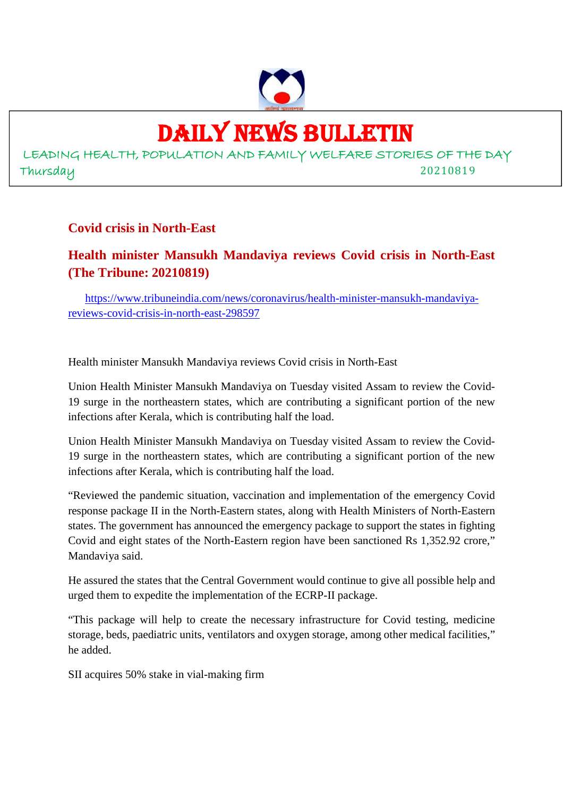

# DAILY NEWS BULLETIN

LEADING HEALTH, POPULATION AND FAMILY WELFARE STORIES OF THE DAY Thursday 20210819

# **Covid crisis in North-East**

# **Health minister Mansukh Mandaviya reviews Covid crisis in North-East (The Tribune: 20210819)**

https://www.tribuneindia.com/news/coronavirus/health-minister-mansukh-mandaviyareviews-covid-crisis-in-north-east-298597

Health minister Mansukh Mandaviya reviews Covid crisis in North-East

Union Health Minister Mansukh Mandaviya on Tuesday visited Assam to review the Covid-19 surge in the northeastern states, which are contributing a significant portion of the new infections after Kerala, which is contributing half the load.

Union Health Minister Mansukh Mandaviya on Tuesday visited Assam to review the Covid-19 surge in the northeastern states, which are contributing a significant portion of the new infections after Kerala, which is contributing half the load.

"Reviewed the pandemic situation, vaccination and implementation of the emergency Covid response package II in the North-Eastern states, along with Health Ministers of North-Eastern states. The government has announced the emergency package to support the states in fighting Covid and eight states of the North-Eastern region have been sanctioned Rs 1,352.92 crore," Mandaviya said.

He assured the states that the Central Government would continue to give all possible help and urged them to expedite the implementation of the ECRP-II package.

"This package will help to create the necessary infrastructure for Covid testing, medicine storage, beds, paediatric units, ventilators and oxygen storage, among other medical facilities," he added.

SII acquires 50% stake in vial-making firm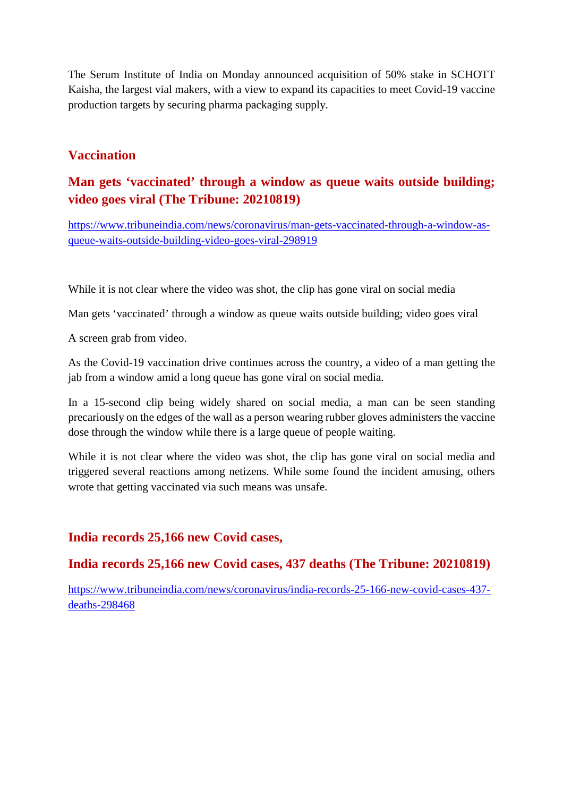The Serum Institute of India on Monday announced acquisition of 50% stake in SCHOTT Kaisha, the largest vial makers, with a view to expand its capacities to meet Covid-19 vaccine production targets by securing pharma packaging supply.

# **Vaccination**

# **Man gets 'vaccinated' through a window as queue waits outside building; video goes viral (The Tribune: 20210819)**

https://www.tribuneindia.com/news/coronavirus/man-gets-vaccinated-through-a-window-asqueue-waits-outside-building-video-goes-viral-298919

While it is not clear where the video was shot, the clip has gone viral on social media

Man gets 'vaccinated' through a window as queue waits outside building; video goes viral

A screen grab from video.

As the Covid-19 vaccination drive continues across the country, a video of a man getting the jab from a window amid a long queue has gone viral on social media.

In a 15-second clip being widely shared on social media, a man can be seen standing precariously on the edges of the wall as a person wearing rubber gloves administers the vaccine dose through the window while there is a large queue of people waiting.

While it is not clear where the video was shot, the clip has gone viral on social media and triggered several reactions among netizens. While some found the incident amusing, others wrote that getting vaccinated via such means was unsafe.

# **India records 25,166 new Covid cases,**

# **India records 25,166 new Covid cases, 437 deaths (The Tribune: 20210819)**

https://www.tribuneindia.com/news/coronavirus/india-records-25-166-new-covid-cases-437 deaths-298468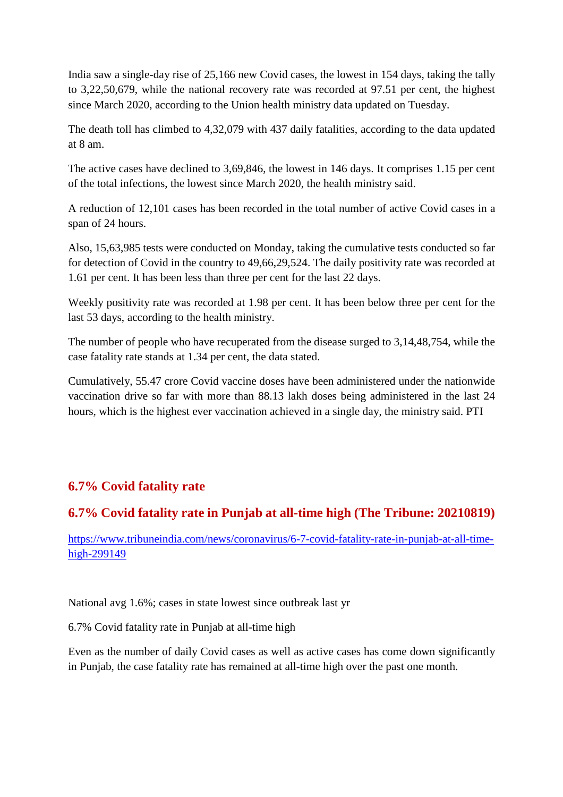India saw a single-day rise of 25,166 new Covid cases, the lowest in 154 days, taking the tally to 3,22,50,679, while the national recovery rate was recorded at 97.51 per cent, the highest since March 2020, according to the Union health ministry data updated on Tuesday.

The death toll has climbed to 4,32,079 with 437 daily fatalities, according to the data updated at 8 am.

The active cases have declined to 3,69,846, the lowest in 146 days. It comprises 1.15 per cent of the total infections, the lowest since March 2020, the health ministry said.

A reduction of 12,101 cases has been recorded in the total number of active Covid cases in a span of 24 hours.

Also, 15,63,985 tests were conducted on Monday, taking the cumulative tests conducted so far for detection of Covid in the country to 49,66,29,524. The daily positivity rate was recorded at 1.61 per cent. It has been less than three per cent for the last 22 days.

Weekly positivity rate was recorded at 1.98 per cent. It has been below three per cent for the last 53 days, according to the health ministry.

The number of people who have recuperated from the disease surged to 3,14,48,754, while the case fatality rate stands at 1.34 per cent, the data stated.

Cumulatively, 55.47 crore Covid vaccine doses have been administered under the nationwide vaccination drive so far with more than 88.13 lakh doses being administered in the last 24 hours, which is the highest ever vaccination achieved in a single day, the ministry said. PTI

# **6.7% Covid fatality rate**

# **6.7% Covid fatality rate in Punjab at all-time high (The Tribune: 20210819)**

https://www.tribuneindia.com/news/coronavirus/6-7-covid-fatality-rate-in-punjab-at-all-timehigh-299149

National avg 1.6%; cases in state lowest since outbreak last yr

6.7% Covid fatality rate in Punjab at all-time high

Even as the number of daily Covid cases as well as active cases has come down significantly in Punjab, the case fatality rate has remained at all-time high over the past one month.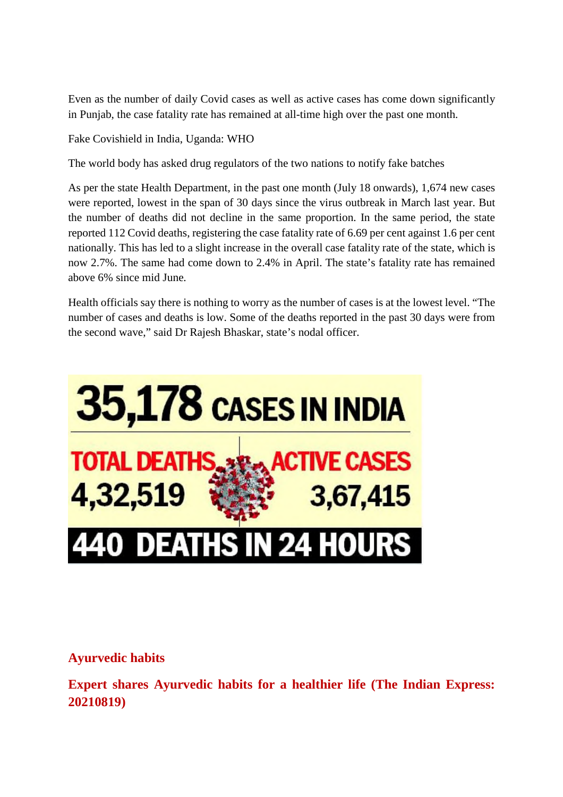Even as the number of daily Covid cases as well as active cases has come down significantly in Punjab, the case fatality rate has remained at all-time high over the past one month.

Fake Covishield in India, Uganda: WHO

The world body has asked drug regulators of the two nations to notify fake batches

As per the state Health Department, in the past one month (July 18 onwards), 1,674 new cases were reported, lowest in the span of 30 days since the virus outbreak in March last year. But the number of deaths did not decline in the same proportion. In the same period, the state reported 112 Covid deaths, registering the case fatality rate of 6.69 per cent against 1.6 per cent nationally. This has led to a slight increase in the overall case fatality rate of the state, which is now 2.7%. The same had come down to 2.4% in April. The state's fatality rate has remained above 6% since mid June.

Health officials say there is nothing to worry as the number of cases is at the lowest level. "The number of cases and deaths is low. Some of the deaths reported in the past 30 days were from the second wave," said Dr Rajesh Bhaskar, state's nodal officer.



# **Ayurvedic habits**

**Expert shares Ayurvedic habits for a healthier life (The Indian Express: 20210819)**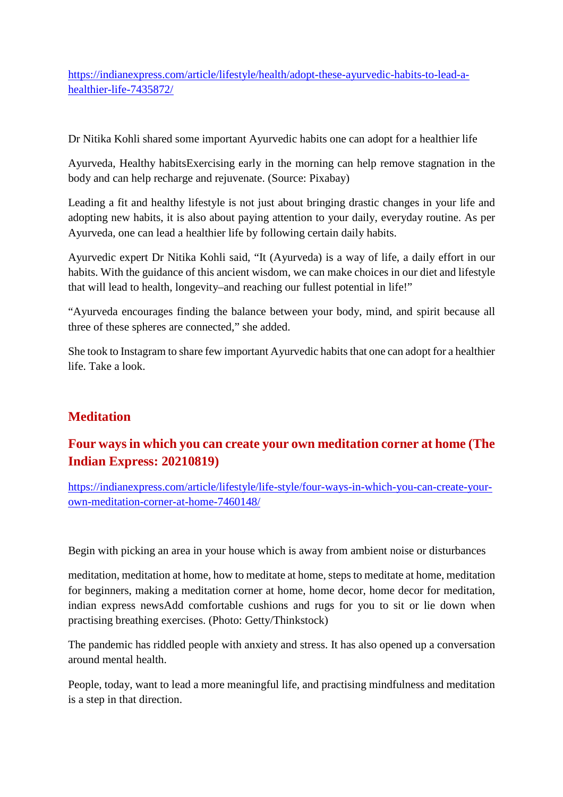https://indianexpress.com/article/lifestyle/health/adopt-these-ayurvedic-habits-to-lead-ahealthier-life-7435872/

Dr Nitika Kohli shared some important Ayurvedic habits one can adopt for a healthier life

Ayurveda, Healthy habitsExercising early in the morning can help remove stagnation in the body and can help recharge and rejuvenate. (Source: Pixabay)

Leading a fit and healthy lifestyle is not just about bringing drastic changes in your life and adopting new habits, it is also about paying attention to your daily, everyday routine. As per Ayurveda, one can lead a healthier life by following certain daily habits.

Ayurvedic expert Dr Nitika Kohli said, "It (Ayurveda) is a way of life, a daily effort in our habits. With the guidance of this ancient wisdom, we can make choices in our diet and lifestyle that will lead to health, longevity–and reaching our fullest potential in life!"

"Ayurveda encourages finding the balance between your body, mind, and spirit because all three of these spheres are connected," she added.

She took to Instagram to share few important Ayurvedic habits that one can adopt for a healthier life. Take a look.

# **Meditation**

# **Four ways in which you can create your own meditation corner at home (The Indian Express: 20210819)**

https://indianexpress.com/article/lifestyle/life-style/four-ways-in-which-you-can-create-yourown-meditation-corner-at-home-7460148/

Begin with picking an area in your house which is away from ambient noise or disturbances

meditation, meditation at home, how to meditate at home, steps to meditate at home, meditation for beginners, making a meditation corner at home, home decor, home decor for meditation, indian express newsAdd comfortable cushions and rugs for you to sit or lie down when practising breathing exercises. (Photo: Getty/Thinkstock)

The pandemic has riddled people with anxiety and stress. It has also opened up a conversation around mental health.

People, today, want to lead a more meaningful life, and practising mindfulness and meditation is a step in that direction.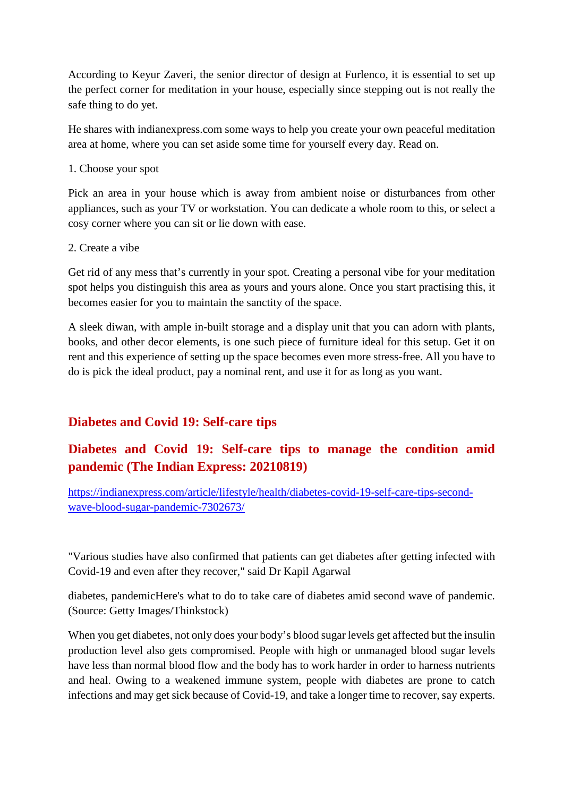According to Keyur Zaveri, the senior director of design at Furlenco, it is essential to set up the perfect corner for meditation in your house, especially since stepping out is not really the safe thing to do yet.

He shares with indianexpress.com some ways to help you create your own peaceful meditation area at home, where you can set aside some time for yourself every day. Read on.

#### 1. Choose your spot

Pick an area in your house which is away from ambient noise or disturbances from other appliances, such as your TV or workstation. You can dedicate a whole room to this, or select a cosy corner where you can sit or lie down with ease.

#### 2. Create a vibe

Get rid of any mess that's currently in your spot. Creating a personal vibe for your meditation spot helps you distinguish this area as yours and yours alone. Once you start practising this, it becomes easier for you to maintain the sanctity of the space.

A sleek diwan, with ample in-built storage and a display unit that you can adorn with plants, books, and other decor elements, is one such piece of furniture ideal for this setup. Get it on rent and this experience of setting up the space becomes even more stress-free. All you have to do is pick the ideal product, pay a nominal rent, and use it for as long as you want.

# **Diabetes and Covid 19: Self-care tips**

# **Diabetes and Covid 19: Self-care tips to manage the condition amid pandemic (The Indian Express: 20210819)**

https://indianexpress.com/article/lifestyle/health/diabetes-covid-19-self-care-tips-secondwave-blood-sugar-pandemic-7302673/

"Various studies have also confirmed that patients can get diabetes after getting infected with Covid-19 and even after they recover," said Dr Kapil Agarwal

diabetes, pandemicHere's what to do to take care of diabetes amid second wave of pandemic. (Source: Getty Images/Thinkstock)

When you get diabetes, not only does your body's blood sugar levels get affected but the insulin production level also gets compromised. People with high or unmanaged blood sugar levels have less than normal blood flow and the body has to work harder in order to harness nutrients and heal. Owing to a weakened immune system, people with diabetes are prone to catch infections and may get sick because of Covid-19, and take a longer time to recover, say experts.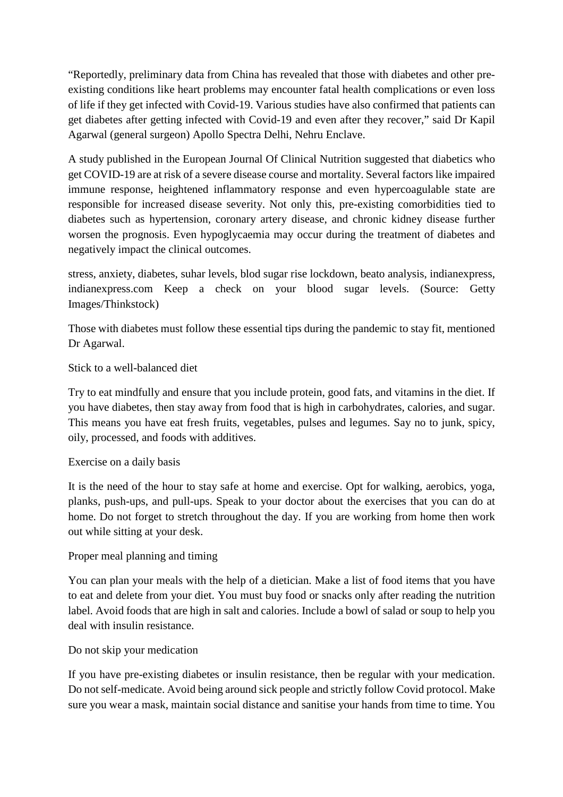"Reportedly, preliminary data from China has revealed that those with diabetes and other preexisting conditions like heart problems may encounter fatal health complications or even loss of life if they get infected with Covid-19. Various studies have also confirmed that patients can get diabetes after getting infected with Covid-19 and even after they recover," said Dr Kapil Agarwal (general surgeon) Apollo Spectra Delhi, Nehru Enclave.

A study published in the European Journal Of Clinical Nutrition suggested that diabetics who get COVID-19 are at risk of a severe disease course and mortality. Several factors like impaired immune response, heightened inflammatory response and even hypercoagulable state are responsible for increased disease severity. Not only this, pre-existing comorbidities tied to diabetes such as hypertension, coronary artery disease, and chronic kidney disease further worsen the prognosis. Even hypoglycaemia may occur during the treatment of diabetes and negatively impact the clinical outcomes.

stress, anxiety, diabetes, suhar levels, blod sugar rise lockdown, beato analysis, indianexpress, indianexpress.com Keep a check on your blood sugar levels. (Source: Getty Images/Thinkstock)

Those with diabetes must follow these essential tips during the pandemic to stay fit, mentioned Dr Agarwal.

#### Stick to a well-balanced diet

Try to eat mindfully and ensure that you include protein, good fats, and vitamins in the diet. If you have diabetes, then stay away from food that is high in carbohydrates, calories, and sugar. This means you have eat fresh fruits, vegetables, pulses and legumes. Say no to junk, spicy, oily, processed, and foods with additives.

#### Exercise on a daily basis

It is the need of the hour to stay safe at home and exercise. Opt for walking, aerobics, yoga, planks, push-ups, and pull-ups. Speak to your doctor about the exercises that you can do at home. Do not forget to stretch throughout the day. If you are working from home then work out while sitting at your desk.

#### Proper meal planning and timing

You can plan your meals with the help of a dietician. Make a list of food items that you have to eat and delete from your diet. You must buy food or snacks only after reading the nutrition label. Avoid foods that are high in salt and calories. Include a bowl of salad or soup to help you deal with insulin resistance.

#### Do not skip your medication

If you have pre-existing diabetes or insulin resistance, then be regular with your medication. Do not self-medicate. Avoid being around sick people and strictly follow Covid protocol. Make sure you wear a mask, maintain social distance and sanitise your hands from time to time. You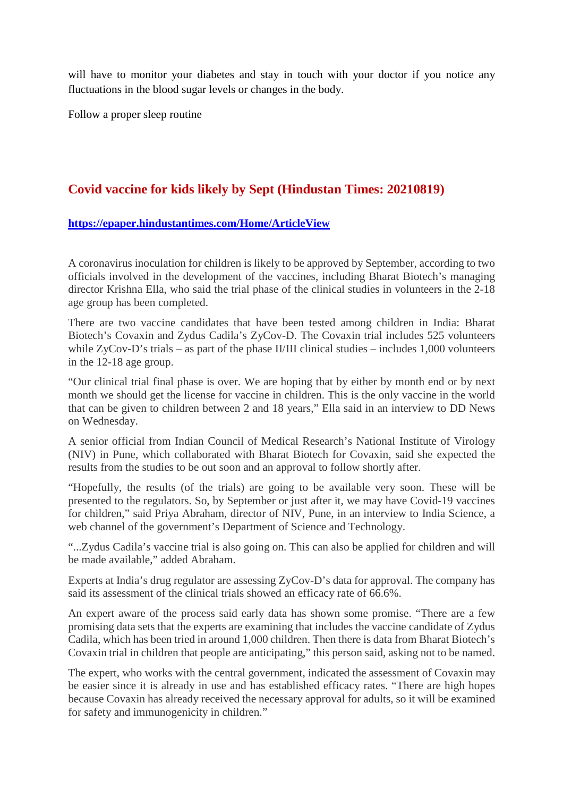will have to monitor your diabetes and stay in touch with your doctor if you notice any fluctuations in the blood sugar levels or changes in the body.

Follow a proper sleep routine

# **Covid vaccine for kids likely by Sept (Hindustan Times: 20210819)**

#### **https://epaper.hindustantimes.com/Home/ArticleView**

A coronavirus inoculation for children is likely to be approved by September, according to two officials involved in the development of the vaccines, including Bharat Biotech's managing director Krishna Ella, who said the trial phase of the clinical studies in volunteers in the 2-18 age group has been completed.

There are two vaccine candidates that have been tested among children in India: Bharat Biotech's Covaxin and Zydus Cadila's ZyCov-D. The Covaxin trial includes 525 volunteers while ZyCov-D's trials – as part of the phase II/III clinical studies – includes 1,000 volunteers in the 12-18 age group.

"Our clinical trial final phase is over. We are hoping that by either by month end or by next month we should get the license for vaccine in children. This is the only vaccine in the world that can be given to children between 2 and 18 years," Ella said in an interview to DD News on Wednesday.

A senior official from Indian Council of Medical Research's National Institute of Virology (NIV) in Pune, which collaborated with Bharat Biotech for Covaxin, said she expected the results from the studies to be out soon and an approval to follow shortly after.

"Hopefully, the results (of the trials) are going to be available very soon. These will be presented to the regulators. So, by September or just after it, we may have Covid-19 vaccines for children," said Priya Abraham, director of NIV, Pune, in an interview to India Science, a web channel of the government's Department of Science and Technology.

"...Zydus Cadila's vaccine trial is also going on. This can also be applied for children and will be made available," added Abraham.

Experts at India's drug regulator are assessing ZyCov-D's data for approval. The company has said its assessment of the clinical trials showed an efficacy rate of 66.6%.

An expert aware of the process said early data has shown some promise. "There are a few promising data sets that the experts are examining that includes the vaccine candidate of Zydus Cadila, which has been tried in around 1,000 children. Then there is data from Bharat Biotech's Covaxin trial in children that people are anticipating," this person said, asking not to be named.

The expert, who works with the central government, indicated the assessment of Covaxin may be easier since it is already in use and has established efficacy rates. "There are high hopes because Covaxin has already received the necessary approval for adults, so it will be examined for safety and immunogenicity in children."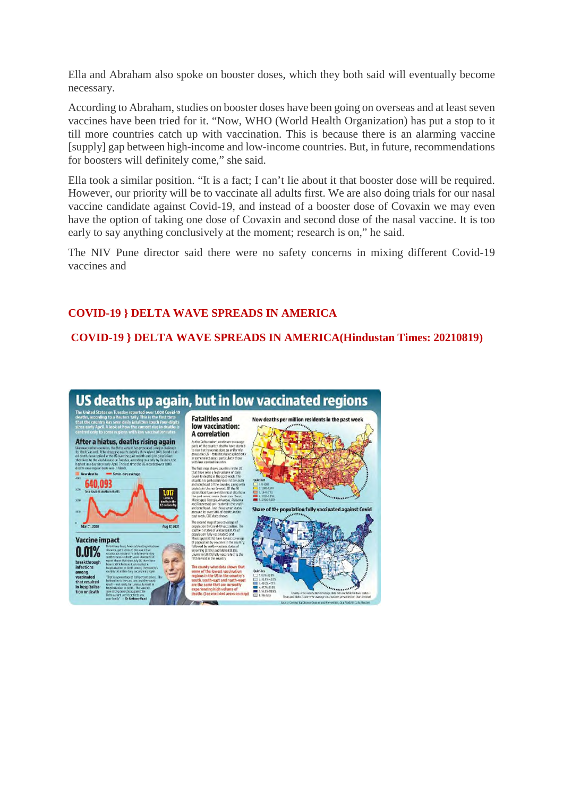Ella and Abraham also spoke on booster doses, which they both said will eventually become necessary.

According to Abraham, studies on booster doses have been going on overseas and at least seven vaccines have been tried for it. "Now, WHO (World Health Organization) has put a stop to it till more countries catch up with vaccination. This is because there is an alarming vaccine [supply] gap between high-income and low-income countries. But, in future, recommendations for boosters will definitely come," she said.

Ella took a similar position. "It is a fact; I can't lie about it that booster dose will be required. However, our priority will be to vaccinate all adults first. We are also doing trials for our nasal vaccine candidate against Covid-19, and instead of a booster dose of Covaxin we may even have the option of taking one dose of Covaxin and second dose of the nasal vaccine. It is too early to say anything conclusively at the moment; research is on," he said.

The NIV Pune director said there were no safety concerns in mixing different Covid-19 vaccines and

#### **COVID-19 } DELTA WAVE SPREADS IN AMERICA**

**COVID-19 } DELTA WAVE SPREADS IN AMERICA(Hindustan Times: 20210819)**

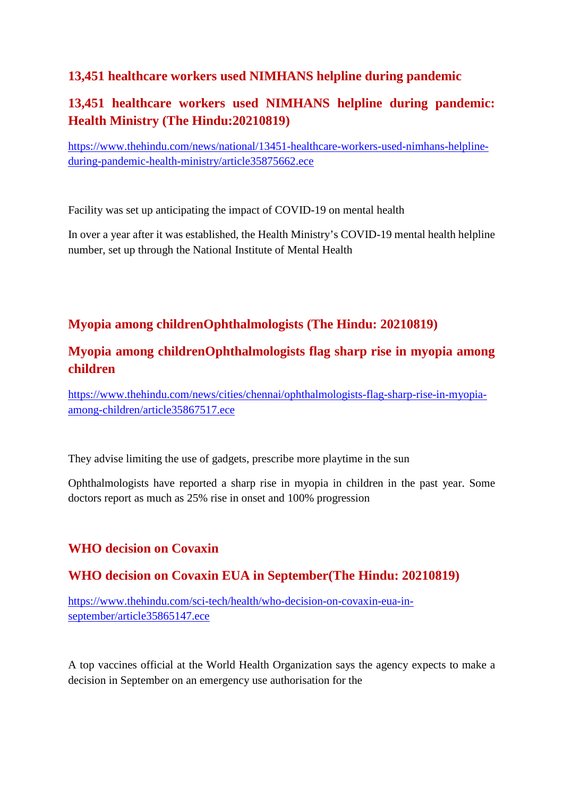# **13,451 healthcare workers used NIMHANS helpline during pandemic**

# **13,451 healthcare workers used NIMHANS helpline during pandemic: Health Ministry (The Hindu:20210819)**

https://www.thehindu.com/news/national/13451-healthcare-workers-used-nimhans-helplineduring-pandemic-health-ministry/article35875662.ece

Facility was set up anticipating the impact of COVID-19 on mental health

In over a year after it was established, the Health Ministry's COVID-19 mental health helpline number, set up through the National Institute of Mental Health

# **Myopia among childrenOphthalmologists (The Hindu: 20210819)**

# **Myopia among childrenOphthalmologists flag sharp rise in myopia among children**

https://www.thehindu.com/news/cities/chennai/ophthalmologists-flag-sharp-rise-in-myopiaamong-children/article35867517.ece

They advise limiting the use of gadgets, prescribe more playtime in the sun

Ophthalmologists have reported a sharp rise in myopia in children in the past year. Some doctors report as much as 25% rise in onset and 100% progression

# **WHO decision on Covaxin**

# **WHO decision on Covaxin EUA in September(The Hindu: 20210819)**

https://www.thehindu.com/sci-tech/health/who-decision-on-covaxin-eua-inseptember/article35865147.ece

A top vaccines official at the World Health Organization says the agency expects to make a decision in September on an emergency use authorisation for the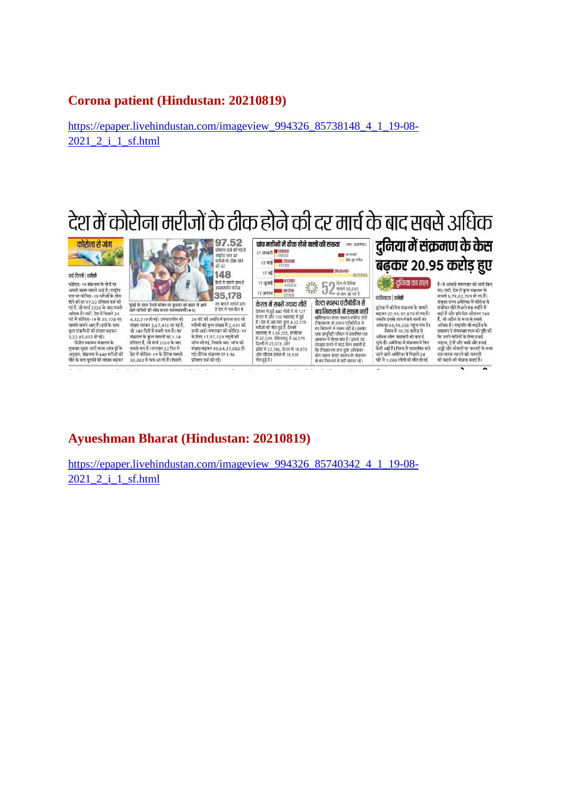#### **Corona patient (Hindustan: 20210819)**

https://epaper.livehindustan.com/imageview\_994326\_85738148\_4\_1\_19-08-2021 2 i 1 sf.html



 $\overline{ }$ 

# **Ayueshman Bharat (Hindustan: 20210819)**

https://epaper.livehindustan.com/imageview\_994326\_85740342\_4\_1\_19-08-2021\_2\_i\_1\_sf.html